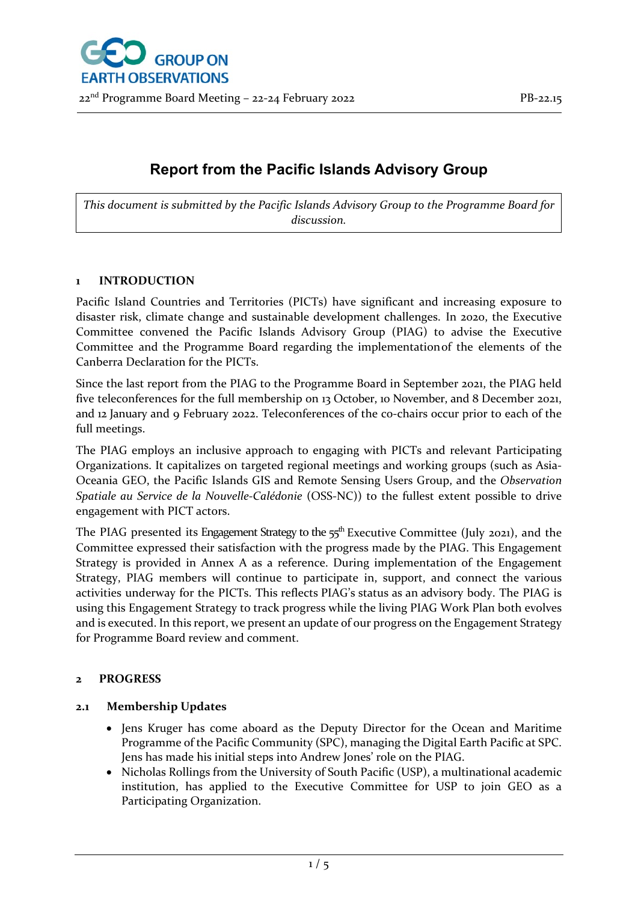

# **Report from the Pacific Islands Advisory Group**

*This document is submitted by the Pacific Islands Advisory Group to the Programme Board for discussion.*

### **1 INTRODUCTION**

Pacific Island Countries and Territories (PICTs) have significant and increasing exposure to disaster risk, climate change and sustainable development challenges. In 2020, the Executive Committee convened the Pacific Islands Advisory Group (PIAG) to advise the Executive Committee and the Programme Board regarding the implementationof the elements of the Canberra Declaration for the PICTs.

Since the last report from the PIAG to the Programme Board in September 2021, the PIAG held five teleconferences for the full membership on 13 October, 10 November, and 8 December 2021, and 12 January and 9 February 2022. Teleconferences of the co-chairs occur prior to each of the full meetings.

The PIAG employs an inclusive approach to engaging with PICTs and relevant Participating Organizations. It capitalizes on targeted regional meetings and working groups (such as Asia-Oceania GEO, the Pacific Islands GIS and Remote Sensing Users Group, and the *Observation Spatiale au Service de la Nouvelle-Calédonie* (OSS-NC)) to the fullest extent possible to drive engagement with PICT actors.

The PIAG presented its Engagement Strategy to the 55<sup>th</sup> Executive Committee (July 2021), and the Committee expressed their satisfaction with the progress made by the PIAG. This Engagement Strategy is provided in Annex A as a reference. During implementation of the Engagement Strategy, PIAG members will continue to participate in, support, and connect the various activities underway for the PICTs. This reflects PIAG's status as an advisory body. The PIAG is using this Engagement Strategy to track progress while the living PIAG Work Plan both evolves and is executed. In this report, we present an update of our progress on the Engagement Strategy for Programme Board review and comment.

### **2 PROGRESS**

## **2.1 Membership Updates**

- Jens Kruger has come aboard as the Deputy Director for the Ocean and Maritime Programme of the Pacific Community (SPC), managing the Digital Earth Pacific at SPC. Jens has made his initial steps into Andrew Jones' role on the PIAG.
- Nicholas Rollings from the University of South Pacific (USP), a multinational academic institution, has applied to the Executive Committee for USP to join GEO as a Participating Organization.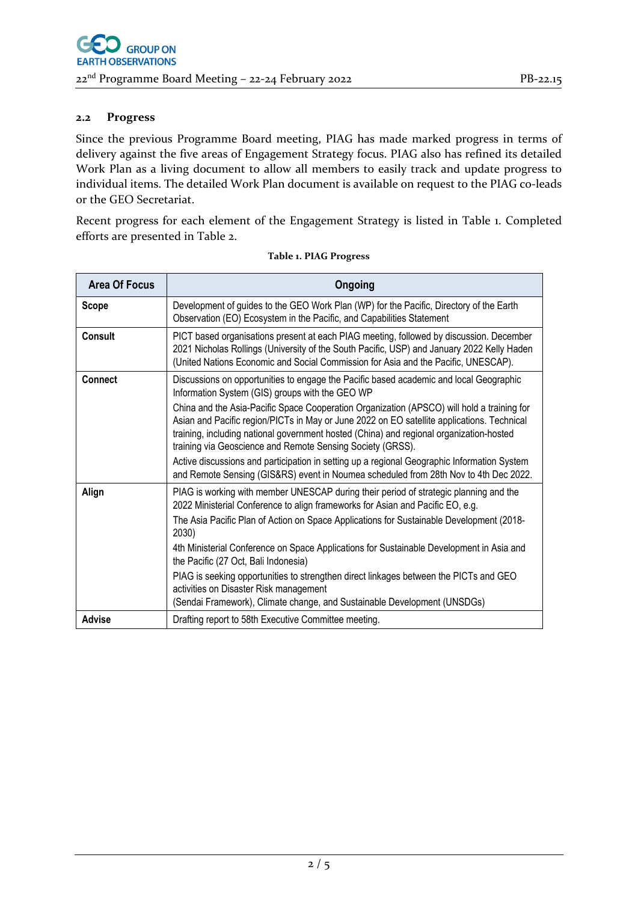### **2.2 Progress**

Since the previous Programme Board meeting, PIAG has made marked progress in terms of delivery against the five areas of Engagement Strategy focus. PIAG also has refined its detailed Work Plan as a living document to allow all members to easily track and update progress to individual items. The detailed Work Plan document is available on request to the PIAG co-leads or the GEO Secretariat.

Recent progress for each element of the Engagement Strategy is listed in Table 1. Completed efforts are presented in Table 2.

| <b>Area Of Focus</b> | Ongoing                                                                                                                                                                                                                                                                                                                                                                                                                                                                                                                                                                                                                                                                               |  |  |  |
|----------------------|---------------------------------------------------------------------------------------------------------------------------------------------------------------------------------------------------------------------------------------------------------------------------------------------------------------------------------------------------------------------------------------------------------------------------------------------------------------------------------------------------------------------------------------------------------------------------------------------------------------------------------------------------------------------------------------|--|--|--|
| <b>Scope</b>         | Development of guides to the GEO Work Plan (WP) for the Pacific, Directory of the Earth<br>Observation (EO) Ecosystem in the Pacific, and Capabilities Statement                                                                                                                                                                                                                                                                                                                                                                                                                                                                                                                      |  |  |  |
| <b>Consult</b>       | PICT based organisations present at each PIAG meeting, followed by discussion. December<br>2021 Nicholas Rollings (University of the South Pacific, USP) and January 2022 Kelly Haden<br>(United Nations Economic and Social Commission for Asia and the Pacific, UNESCAP).                                                                                                                                                                                                                                                                                                                                                                                                           |  |  |  |
| <b>Connect</b>       | Discussions on opportunities to engage the Pacific based academic and local Geographic<br>Information System (GIS) groups with the GEO WP<br>China and the Asia-Pacific Space Cooperation Organization (APSCO) will hold a training for<br>Asian and Pacific region/PICTs in May or June 2022 on EO satellite applications. Technical<br>training, including national government hosted (China) and regional organization-hosted<br>training via Geoscience and Remote Sensing Society (GRSS).<br>Active discussions and participation in setting up a regional Geographic Information System<br>and Remote Sensing (GIS&RS) event in Noumea scheduled from 28th Nov to 4th Dec 2022. |  |  |  |
| Align                | PIAG is working with member UNESCAP during their period of strategic planning and the<br>2022 Ministerial Conference to align frameworks for Asian and Pacific EO, e.g.<br>The Asia Pacific Plan of Action on Space Applications for Sustainable Development (2018-<br>2030)<br>4th Ministerial Conference on Space Applications for Sustainable Development in Asia and<br>the Pacific (27 Oct, Bali Indonesia)<br>PIAG is seeking opportunities to strengthen direct linkages between the PICTs and GEO<br>activities on Disaster Risk management<br>(Sendai Framework), Climate change, and Sustainable Development (UNSDGs)                                                       |  |  |  |
| <b>Advise</b>        | Drafting report to 58th Executive Committee meeting.                                                                                                                                                                                                                                                                                                                                                                                                                                                                                                                                                                                                                                  |  |  |  |

#### **Table 1. PIAG Progress**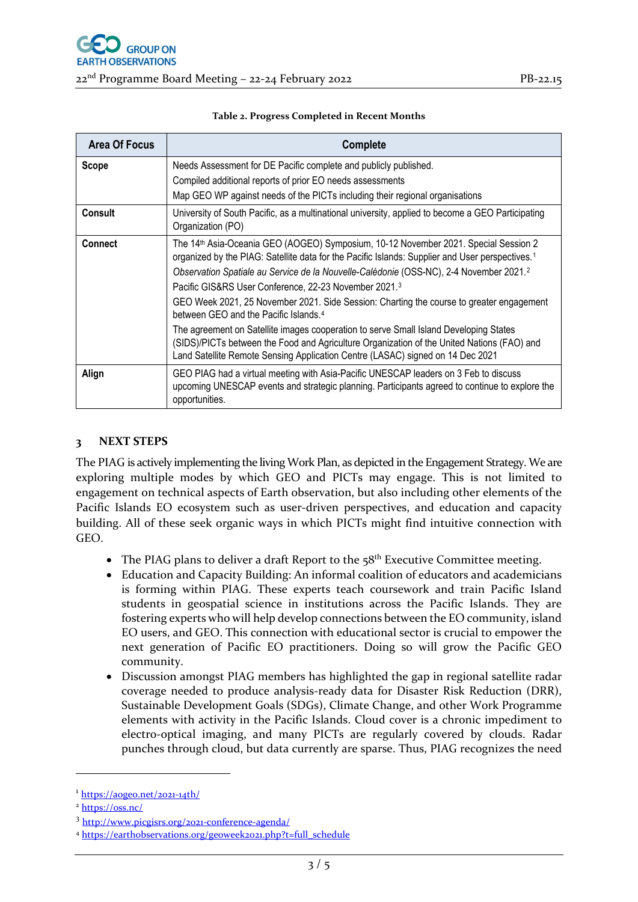22nd Programme Board Meeting – 22-24 February 2022 PB-22.15

| <b>Area Of Focus</b> | <b>Complete</b>                                                                                                                                                                                                                                                                                                                                                                                                                                                                                                                                                                                                                                                                                                                                                                                         |  |  |  |
|----------------------|---------------------------------------------------------------------------------------------------------------------------------------------------------------------------------------------------------------------------------------------------------------------------------------------------------------------------------------------------------------------------------------------------------------------------------------------------------------------------------------------------------------------------------------------------------------------------------------------------------------------------------------------------------------------------------------------------------------------------------------------------------------------------------------------------------|--|--|--|
| Scope                | Needs Assessment for DE Pacific complete and publicly published.                                                                                                                                                                                                                                                                                                                                                                                                                                                                                                                                                                                                                                                                                                                                        |  |  |  |
|                      | Compiled additional reports of prior EO needs assessments                                                                                                                                                                                                                                                                                                                                                                                                                                                                                                                                                                                                                                                                                                                                               |  |  |  |
|                      | Map GEO WP against needs of the PICTs including their regional organisations                                                                                                                                                                                                                                                                                                                                                                                                                                                                                                                                                                                                                                                                                                                            |  |  |  |
| <b>Consult</b>       | University of South Pacific, as a multinational university, applied to become a GEO Participating<br>Organization (PO)                                                                                                                                                                                                                                                                                                                                                                                                                                                                                                                                                                                                                                                                                  |  |  |  |
| <b>Connect</b>       | The 14 <sup>th</sup> Asia-Oceania GEO (AOGEO) Symposium, 10-12 November 2021. Special Session 2<br>organized by the PIAG: Satellite data for the Pacific Islands: Supplier and User perspectives. <sup>1</sup><br>Observation Spatiale au Service de la Nouvelle-Calédonie (OSS-NC), 2-4 November 2021. <sup>2</sup><br>Pacific GIS&RS User Conference, 22-23 November 2021.3<br>GEO Week 2021, 25 November 2021. Side Session: Charting the course to greater engagement<br>between GEO and the Pacific Islands. <sup>4</sup><br>The agreement on Satellite images cooperation to serve Small Island Developing States<br>(SIDS)/PICTs between the Food and Agriculture Organization of the United Nations (FAO) and<br>Land Satellite Remote Sensing Application Centre (LASAC) signed on 14 Dec 2021 |  |  |  |
| Align                | GEO PIAG had a virtual meeting with Asia-Pacific UNESCAP leaders on 3 Feb to discuss<br>upcoming UNESCAP events and strategic planning. Participants agreed to continue to explore the<br>opportunities.                                                                                                                                                                                                                                                                                                                                                                                                                                                                                                                                                                                                |  |  |  |

#### **Table 2. Progress Completed in Recent Months**

## **3 NEXT STEPS**

The PIAG is actively implementing the living Work Plan, as depicted in the Engagement Strategy. We are exploring multiple modes by which GEO and PICTs may engage. This is not limited to engagement on technical aspects of Earth observation, but also including other elements of the Pacific Islands EO ecosystem such as user-driven perspectives, and education and capacity building. All of these seek organic ways in which PICTs might find intuitive connection with GEO.

- The PIAG plans to deliver a draft Report to the  $58<sup>th</sup>$  Executive Committee meeting.
- Education and Capacity Building: An informal coalition of educators and academicians is forming within PIAG. These experts teach coursework and train Pacific Island students in geospatial science in institutions across the Pacific Islands. They are fostering experts who will help develop connections between the EO community, island EO users, and GEO. This connection with educational sector is crucial to empower the next generation of Pacific EO practitioners. Doing so will grow the Pacific GEO community.
- Discussion amongst PIAG members has highlighted the gap in regional satellite radar coverage needed to produce analysis-ready data for Disaster Risk Reduction (DRR), Sustainable Development Goals (SDGs), Climate Change, and other Work Programme elements with activity in the Pacific Islands. Cloud cover is a chronic impediment to electro-optical imaging, and many PICTs are regularly covered by clouds. Radar punches through cloud, but data currently are sparse. Thus, PIAG recognizes the need

<span id="page-2-0"></span><sup>1</sup> <https://aogeo.net/2021-14th/>

<span id="page-2-1"></span><sup>2</sup> <https://oss.nc/>

<span id="page-2-2"></span><sup>3</sup> <http://www.picgisrs.org/2021-conference-agenda/>

<span id="page-2-3"></span><sup>4</sup> [https://earthobservations.org/geoweek2021.php?t=full\\_schedule](https://earthobservations.org/geoweek2021.php?t=full_schedule)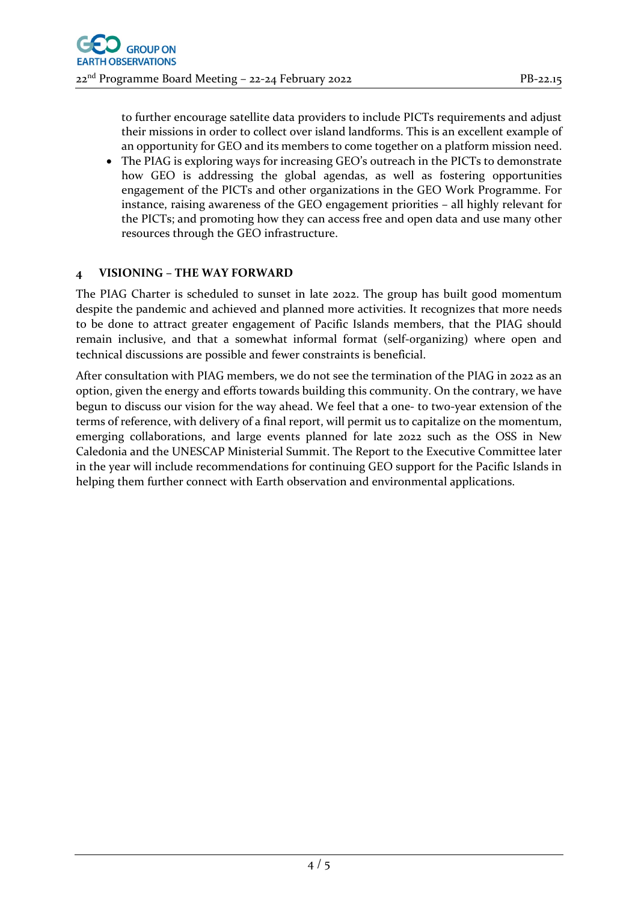to further encourage satellite data providers to include PICTs requirements and adjust their missions in order to collect over island landforms. This is an excellent example of an opportunity for GEO and its members to come together on a platform mission need.

• The PIAG is exploring ways for increasing GEO's outreach in the PICTs to demonstrate how GEO is addressing the global agendas, as well as fostering opportunities engagement of the PICTs and other organizations in the GEO Work Programme. For instance, raising awareness of the GEO engagement priorities – all highly relevant for the PICTs; and promoting how they can access free and open data and use many other resources through the GEO infrastructure.

## **4 VISIONING – THE WAY FORWARD**

The PIAG Charter is scheduled to sunset in late 2022. The group has built good momentum despite the pandemic and achieved and planned more activities. It recognizes that more needs to be done to attract greater engagement of Pacific Islands members, that the PIAG should remain inclusive, and that a somewhat informal format (self-organizing) where open and technical discussions are possible and fewer constraints is beneficial.

After consultation with PIAG members, we do not see the termination of the PIAG in 2022 as an option, given the energy and efforts towards building this community. On the contrary, we have begun to discuss our vision for the way ahead. We feel that a one- to two-year extension of the terms of reference, with delivery of a final report, will permit us to capitalize on the momentum, emerging collaborations, and large events planned for late 2022 such as the OSS in New Caledonia and the UNESCAP Ministerial Summit. The Report to the Executive Committee later in the year will include recommendations for continuing GEO support for the Pacific Islands in helping them further connect with Earth observation and environmental applications.